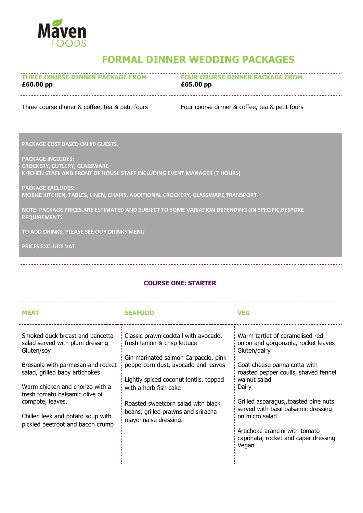

## **FORMAL DINNER WEDDING PACKAGES**

| <b>THREE COURSE DINNER PACKAGE FROM</b> | <b>FOUR COURSE DINNER PACKAGE FROM</b> |
|-----------------------------------------|----------------------------------------|
| £60.00 pp                               | £65.00 pp                              |

Three course dinner & coffee, tea & petit fours Four course dinner & coffee, tea & petit fours

**PACKAGE COST BASED ON 80 GUESTS.**

**PACKAGE INCLUDES: CROCKERY, CUTLERY, GLASSWARE KITCHEN STAFF AND FRONT OF HOUSE STAFF INCLUDING EVENT MANAGER (7 HOURS)**

**PACKAGE EXCLUDES: MOBILE KITCHEN, TABLES, LINEN, CHAIRS, ADDITIONAL CROCKERY, GLASSWARE,TRANSPORT.**

**NOTE: PACKAGE PRICES ARE ESTIMATED AND SUBJECT TO SOME VARIATION DEPENDING ON SPECIFIC,BESPOKE REQUIREMENTS**

**TO ADD DRINKS, PLEASE SEE OUR DRINKS MENU**

**PRICES EXCLUDE VAT**

## **COURSE ONE: STARTER**

| <b>MEAT</b>                                                                                                                                             | <b>SEAFOOD</b>                                                                                                                                     | <b>VEG</b>                                                                                                                                                     |
|---------------------------------------------------------------------------------------------------------------------------------------------------------|----------------------------------------------------------------------------------------------------------------------------------------------------|----------------------------------------------------------------------------------------------------------------------------------------------------------------|
| Smoked duck breast and pancetta<br>salad served with plum dressing<br>Gluten/soy<br>Bresaola with parmesan and rocket<br>salad, grilled baby artichokes | Classic prawn cocktail with avocado,<br>fresh lemon & crisp lettuce<br>Gin marinated salmon Carpaccio, pink<br>peppercorn dust, avocado and leaves | Warm tartlet of caramelised red<br>onion and gorgonzola, rocket leaves<br>Gluten/dairy<br>Goat cheese panna cotta with<br>roasted pepper coulis, shaved fennel |
| Warm chicken and chorizo with a<br>fresh tomato balsamic olive oil<br>compote, leaves.                                                                  | Lightly spiced coconut lentils, topped<br>with a herb fish cake<br>Roasted sweetcorn salad with black                                              | walnut salad<br>Dairy<br>Grilled asparagus, toasted pine nuts                                                                                                  |
| Chilled leek and potato soup with<br>pickled beetroot and bacon crumb                                                                                   | beans, grilled prawns and sriracha<br>mayonnaise dressing.                                                                                         | served with basil balsamic dressing<br>on micro salad<br>Artichoke arancini with tomato<br>caponata, rocket and caper dressing<br>Vegan                        |
|                                                                                                                                                         |                                                                                                                                                    |                                                                                                                                                                |